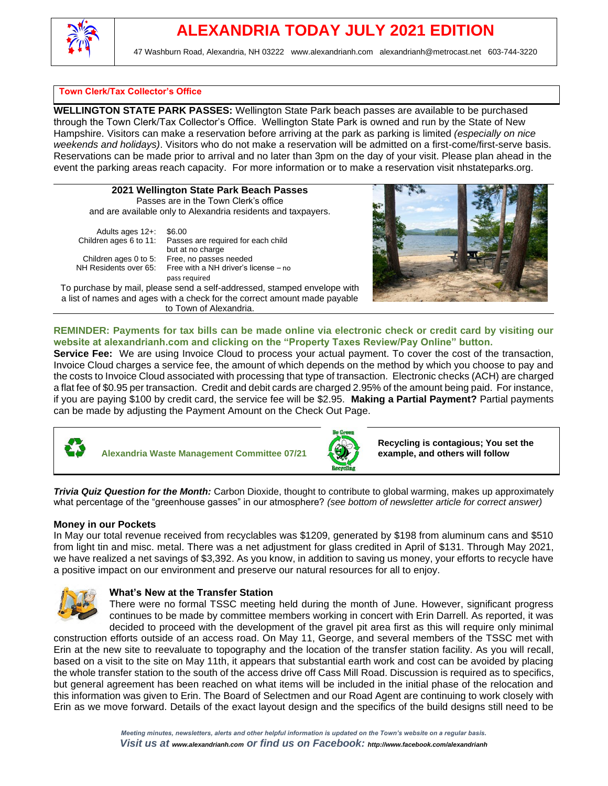

#### **Town Clerk/Tax Collector's Office**

**WELLINGTON STATE PARK PASSES:** Wellington State Park beach passes are available to be purchased through the Town Clerk/Tax Collector's Office. Wellington State Park is owned and run by the State of New Hampshire. Visitors can make a reservation before arriving at the park as parking is limited *(especially on nice weekends and holidays)*. Visitors who do not make a reservation will be admitted on a first-come/first-serve basis. Reservations can be made prior to arrival and no later than 3pm on the day of your visit. Please plan ahead in the event the parking areas reach capacity. For more information or to make a reservation visit nhstateparks.org.

| 2021 Wellington State Park Beach Passes                       |  |  |
|---------------------------------------------------------------|--|--|
| Passes are in the Town Clerk's office                         |  |  |
| and are available only to Alexandria residents and taxpayers. |  |  |
| Adults ages $12 + 1$ \$6.00                                   |  |  |

Children ages 6 to 11: Passes are required for each child

but at no charge Children ages 0 to 5: Free, no passes needed NH Residents over 65: Free with a NH driver's license – no pass required

To purchase by mail, please send a self-addressed, stamped envelope with a list of names and ages with a check for the correct amount made payable to Town of Alexandria.



**REMINDER: Payments for tax bills can be made online via electronic check or credit card by visiting our website at alexandrianh.com and clicking on the "Property Taxes Review/Pay Online" button.** 

**Service Fee:** We are using Invoice Cloud to process your actual payment. To cover the cost of the transaction, Invoice Cloud charges a service fee, the amount of which depends on the method by which you choose to pay and the costs to Invoice Cloud associated with processing that type of transaction. Electronic checks (ACH) are charged a flat fee of \$0.95 per transaction. Credit and debit cards are charged 2.95% of the amount being paid. For instance, if you are paying \$100 by credit card, the service fee will be \$2.95. **Making a Partial Payment?** Partial payments can be made by adjusting the Payment Amount on the Check Out Page.



**Alexandria Waste Management Committee 07/21** 



**Recycling is contagious; You set the example, and others will follow**

*Trivia Quiz Question for the Month:* Carbon Dioxide, thought to contribute to global warming, makes up approximately what percentage of the "greenhouse gasses" in our atmosphere? *(see bottom of newsletter article for correct answer)*

#### **Money in our Pockets**

In May our total revenue received from recyclables was \$1209, generated by \$198 from aluminum cans and \$510 from light tin and misc. metal. There was a net adjustment for glass credited in April of \$131. Through May 2021, we have realized a net savings of \$3,392. As you know, in addition to saving us money, your efforts to recycle have a positive impact on our environment and preserve our natural resources for all to enjoy.



#### **What's New at the Transfer Station**

There were no formal TSSC meeting held during the month of June. However, significant progress continues to be made by committee members working in concert with Erin Darrell. As reported, it was decided to proceed with the development of the gravel pit area first as this will require only minimal

construction efforts outside of an access road. On May 11, George, and several members of the TSSC met with Erin at the new site to reevaluate to topography and the location of the transfer station facility. As you will recall, based on a visit to the site on May 11th, it appears that substantial earth work and cost can be avoided by placing the whole transfer station to the south of the access drive off Cass Mill Road. Discussion is required as to specifics, but general agreement has been reached on what items will be included in the initial phase of the relocation and this information was given to Erin. The Board of Selectmen and our Road Agent are continuing to work closely with Erin as we move forward. Details of the exact layout design and the specifics of the build designs still need to be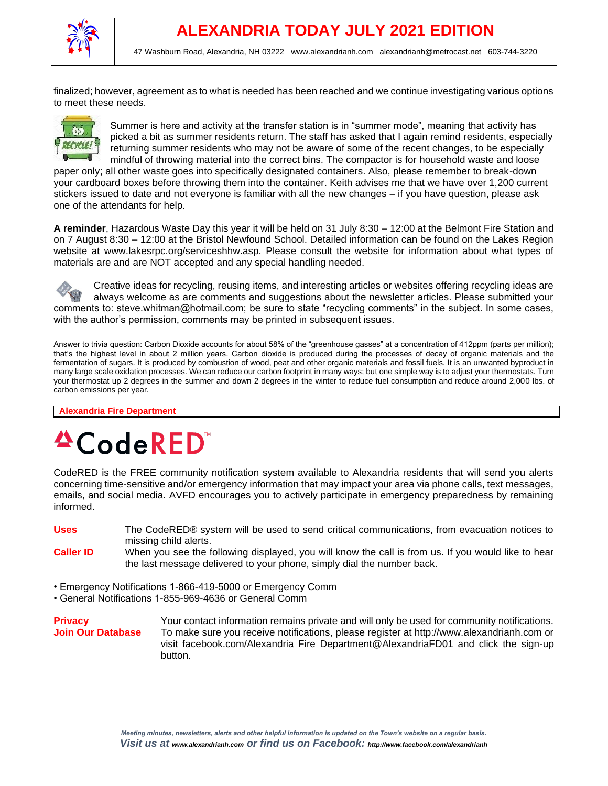

finalized; however, agreement as to what is needed has been reached and we continue investigating various options to meet these needs.



Summer is here and activity at the transfer station is in "summer mode", meaning that activity has picked a bit as summer residents return. The staff has asked that I again remind residents, especially returning summer residents who may not be aware of some of the recent changes, to be especially mindful of throwing material into the correct bins. The compactor is for household waste and loose

paper only; all other waste goes into specifically designated containers. Also, please remember to break-down your cardboard boxes before throwing them into the container. Keith advises me that we have over 1,200 current stickers issued to date and not everyone is familiar with all the new changes – if you have question, please ask one of the attendants for help.

**A reminder**, Hazardous Waste Day this year it will be held on 31 July 8:30 – 12:00 at the Belmont Fire Station and on 7 August 8:30 – 12:00 at the Bristol Newfound School. Detailed information can be found on the Lakes Region website at www.lakesrpc.org/serviceshhw.asp. Please consult the website for information about what types of materials are and are NOT accepted and any special handling needed.

Creative ideas for recycling, reusing items, and interesting articles or websites offering recycling ideas are always welcome as are comments and suggestions about the newsletter articles. Please submitted your comments to: steve.whitman@hotmail.com; be sure to state "recycling comments" in the subject. In some cases, with the author's permission, comments may be printed in subsequent issues.

Answer to trivia question: Carbon Dioxide accounts for about 58% of the "greenhouse gasses" at a concentration of 412ppm (parts per million); that's the highest level in about 2 million years. Carbon dioxide is produced during the processes of decay of organic materials and the fermentation of sugars. It is produced by combustion of wood, peat and other organic materials and fossil fuels. It is an unwanted byproduct in many large scale oxidation processes. We can reduce our carbon footprint in many ways; but one simple way is to adjust your thermostats. Turn your thermostat up 2 degrees in the summer and down 2 degrees in the winter to reduce fuel consumption and reduce around 2,000 lbs. of carbon emissions per year.

**Alexandria Fire Department**

# **ACodeRED**

CodeRED is the FREE community notification system available to Alexandria residents that will send you alerts concerning time-sensitive and/or emergency information that may impact your area via phone calls, text messages, emails, and social media. AVFD encourages you to actively participate in emergency preparedness by remaining informed.

- **Uses** The CodeRED® system will be used to send critical communications, from evacuation notices to missing child alerts.
- **Caller ID** When you see the following displayed, you will know the call is from us. If you would like to hear the last message delivered to your phone, simply dial the number back.
- Emergency Notifications 1-866-419-5000 or Emergency Comm
- General Notifications 1-855-969-4636 or General Comm

**Privacy Privacy Your contact information remains private and will only be used for community notifications. Join Our Database** To make sure you receive notifications, please register at http://www.alexandrianh.com or visit facebook.com/Alexandria Fire Department@AlexandriaFD01 and click the sign-up button.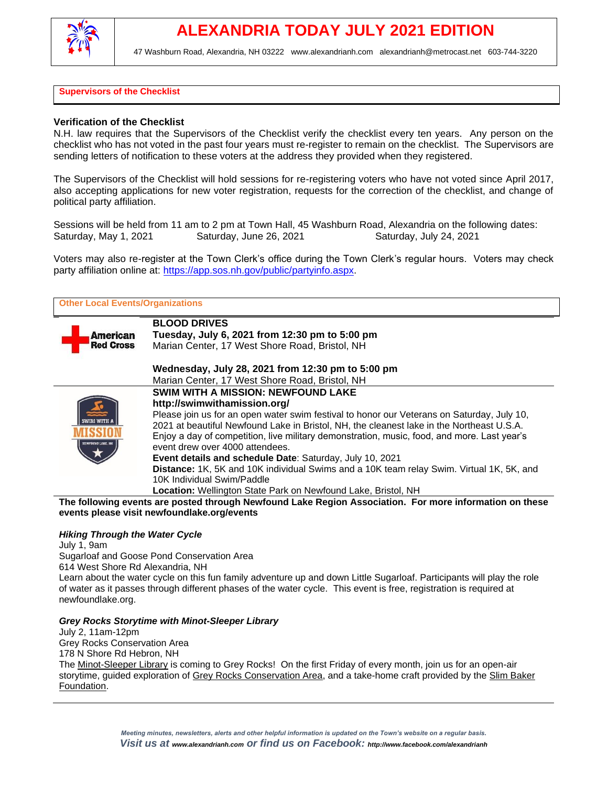

#### **Supervisors of the Checklist**

#### **Verification of the Checklist**

N.H. law requires that the Supervisors of the Checklist verify the checklist every ten years. Any person on the checklist who has not voted in the past four years must re-register to remain on the checklist. The Supervisors are sending letters of notification to these voters at the address they provided when they registered.

The Supervisors of the Checklist will hold sessions for re-registering voters who have not voted since April 2017, also accepting applications for new voter registration, requests for the correction of the checklist, and change of political party affiliation.

Sessions will be held from 11 am to 2 pm at Town Hall, 45 Washburn Road, Alexandria on the following dates:<br>Saturday, May 1, 2021 Saturday, June 26, 2021 Saturday, July 24, 2021 Saturday, June 26, 2021 Saturday, July 24, 2021

Voters may also re-register at the Town Clerk's office during the Town Clerk's regular hours. Voters may check party affiliation online at: [https://app.sos.nh.gov/public/partyinfo.aspx.](https://app.sos.nh.gov/public/partyinfo.aspx)

| <b>Other Local Events/Organizations</b> |                                                                                             |  |
|-----------------------------------------|---------------------------------------------------------------------------------------------|--|
|                                         | <b>BLOOD DRIVES</b>                                                                         |  |
| American<br><b>Red Cross</b>            | Tuesday, July 6, 2021 from 12:30 pm to 5:00 pm                                              |  |
|                                         | Marian Center, 17 West Shore Road, Bristol, NH                                              |  |
|                                         | Wednesday, July 28, 2021 from 12:30 pm to 5:00 pm                                           |  |
|                                         | Marian Center, 17 West Shore Road, Bristol, NH                                              |  |
|                                         | <b>SWIM WITH A MISSION: NEWFOUND LAKE</b>                                                   |  |
|                                         | http://swimwithamission.org/                                                                |  |
|                                         | Please join us for an open water swim festival to honor our Veterans on Saturday, July 10,  |  |
|                                         | 2021 at beautiful Newfound Lake in Bristol, NH, the cleanest lake in the Northeast U.S.A.   |  |
|                                         | Enjoy a day of competition, live military demonstration, music, food, and more. Last year's |  |
|                                         | event drew over 4000 attendees.                                                             |  |
|                                         | <b>Event details and schedule Date: Saturday, July 10, 2021</b>                             |  |
|                                         | Distance: 1K, 5K and 10K individual Swims and a 10K team relay Swim. Virtual 1K, 5K, and    |  |
|                                         | 10K Individual Swim/Paddle                                                                  |  |
|                                         | Location: Wellington State Park on Newfound Lake, Bristol, NH                               |  |
|                                         | . .                                                                                         |  |

**The following events are posted through Newfound Lake Region Association. For more information on these events please visit newfoundlake.org/events**

#### *Hiking Through the Water Cycle*

July 1, 9am Sugarloaf and Goose Pond Conservation Area 614 West Shore Rd Alexandria, NH Learn about the water cycle on this fun family adventure up and down Little Sugarloaf. Participants will play the role of water as it passes through different phases of the water cycle. This event is free, registration is required at newfoundlake.org.

#### *Grey Rocks Storytime with Minot-Sleeper Library*

July 2, 11am-12pm Grey Rocks Conservation Area 178 N Shore Rd Hebron, NH The [Minot-Sleeper Library](http://minotsleeperlibrary.org/) is coming to Grey Rocks! On the first Friday of every month, join us for an open-air storytime, guided exploration of [Grey Rocks Conservation Area,](http://newfoundlake.org/greyrocks) and a take-home craft provided by the [Slim Baker](http://slimbaker.org/)  [Foundation.](http://slimbaker.org/)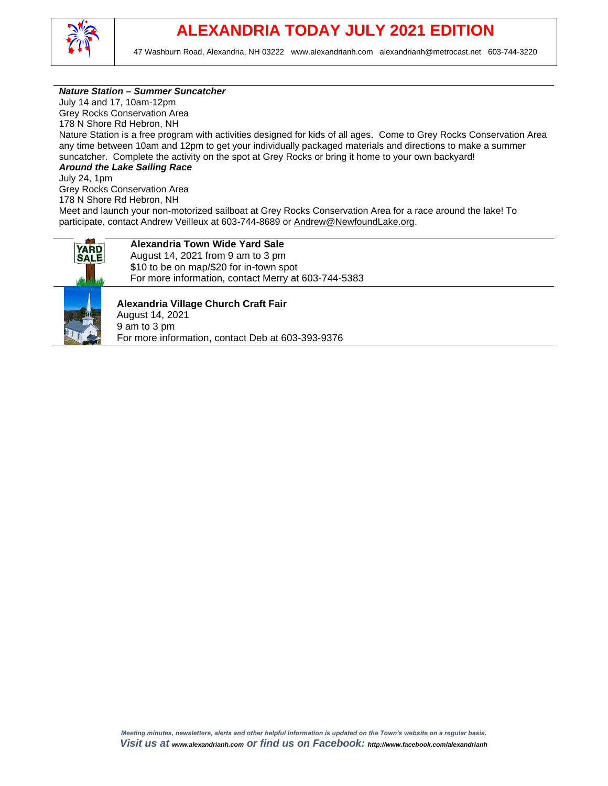

#### *Nature Station – Summer Suncatcher*

July 14 and 17, 10am-12pm Grey Rocks Conservation Area 178 N Shore Rd Hebron, NH Nature Station is a free program with activities designed for kids of all ages. Come to Grey Rocks Conservation Area any time between 10am and 12pm to get your individually packaged materials and directions to make a summer suncatcher. Complete the activity on the spot at Grey Rocks or bring it home to your own backyard! *Around the Lake Sailing Race*

July 24, 1pm Grey Rocks Conservation Area 178 N Shore Rd Hebron, NH

Meet and launch your non-motorized sailboat at Grey Rocks Conservation Area for a race around the lake! To participate, contact Andrew Veilleux at 603-744-8689 or [Andrew@NewfoundLake.org.](mailto:Andrew@NewfoundLake.org)



### **Alexandria Town Wide Yard Sale**

August 14, 2021 from 9 am to 3 pm \$10 to be on map/\$20 for in-town spot For more information, contact Merry at 603-744-5383



**Alexandria Village Church Craft Fair** August 14, 2021 9 am to 3 pm For more information, contact Deb at 603-393-9376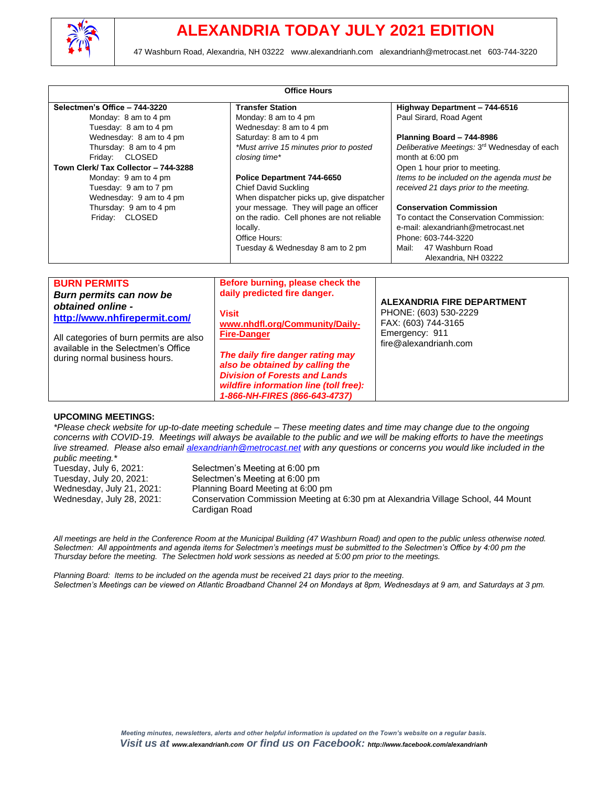

|                                         | <b>Office Hours</b>                                    |                                              |
|-----------------------------------------|--------------------------------------------------------|----------------------------------------------|
| Selectmen's Office - 744-3220           | <b>Transfer Station</b>                                | Highway Department - 744-6516                |
| Monday: 8 am to 4 pm                    | Monday: 8 am to 4 pm                                   | Paul Sirard, Road Agent                      |
| Tuesday: 8 am to 4 pm                   | Wednesday: 8 am to 4 pm                                |                                              |
| Wednesday: 8 am to 4 pm                 | Saturday: 8 am to 4 pm                                 | Planning Board - 744-8986                    |
| Thursday: 8 am to 4 pm                  | *Must arrive 15 minutes prior to posted                | Deliberative Meetings: 3rd Wednesday of each |
| Friday: CLOSED                          | closing time*                                          | month at 6:00 pm                             |
| Town Clerk/ Tax Collector - 744-3288    |                                                        | Open 1 hour prior to meeting.                |
| Monday: 9 am to 4 pm                    | Police Department 744-6650                             | Items to be included on the agenda must be   |
| Tuesday: 9 am to 7 pm                   | <b>Chief David Suckling</b>                            | received 21 days prior to the meeting.       |
| Wednesday: 9 am to 4 pm                 | When dispatcher picks up, give dispatcher              | <b>Conservation Commission</b>               |
| Thursday: 9 am to 4 pm                  | your message. They will page an officer                | To contact the Conservation Commission:      |
| Friday: CLOSED                          | on the radio. Cell phones are not reliable<br>locally. | e-mail: alexandrianh@metrocast.net           |
|                                         | Office Hours:                                          | Phone: 603-744-3220                          |
|                                         | Tuesday & Wednesday 8 am to 2 pm                       | Mail:<br>47 Washburn Road                    |
|                                         |                                                        | Alexandria, NH 03222                         |
|                                         |                                                        |                                              |
| <b>BURN PERMITS</b>                     | Before burning, please check the                       |                                              |
| Burn permits can now be                 | daily predicted fire danger.                           |                                              |
| obtained online -                       |                                                        | <b>ALEXANDRIA FIRE DEPARTMENT</b>            |
| http://www.nhfirepermit.com/            | <b>Visit</b>                                           | PHONE: (603) 530-2229                        |
|                                         | www.nhdfl.org/Community/Daily-                         | FAX: (603) 744-3165                          |
| All categories of burn permits are also | <b>Fire-Danger</b>                                     | Emergency: 911                               |
| available in the Selectmen's Office     |                                                        | fire@alexandrianh.com                        |
| during normal business hours.           | The daily fire danger rating may                       |                                              |
|                                         | also be obtained by calling the                        |                                              |
|                                         | <b>Division of Forests and Lands</b>                   |                                              |
|                                         | wildfire information line (toll free):                 |                                              |
|                                         | 1-866-NH-FIRES (866-643-4737)                          |                                              |

#### **UPCOMING MEETINGS:**

*\*Please check website for up-to-date meeting schedule – These meeting dates and time may change due to the ongoing concerns with COVID-19. Meetings will always be available to the public and we will be making efforts to have the meetings live streamed. Please also email [alexandrianh@metrocast.net](mailto:alexandrianh@metrocast.net) with any questions or concerns you would like included in the public meeting.\** Selectmen's Meeting at 6:00 pm

| Tuesday, July 20, 2021:   | Selectmen's Meeting at 6:00 pm                                                    |
|---------------------------|-----------------------------------------------------------------------------------|
| Wednesday, July 21, 2021: | Planning Board Meeting at 6:00 pm                                                 |
| Wednesday, July 28, 2021: | Conservation Commission Meeting at 6:30 pm at Alexandria Village School, 44 Mount |
|                           | Cardigan Road                                                                     |

*All meetings are held in the Conference Room at the Municipal Building (47 Washburn Road) and open to the public unless otherwise noted. Selectmen: All appointments and agenda items for Selectmen's meetings must be submitted to the Selectmen's Office by 4:00 pm the Thursday before the meeting. The Selectmen hold work sessions as needed at 5:00 pm prior to the meetings.*

*Planning Board: Items to be included on the agenda must be received 21 days prior to the meeting. Selectmen's Meetings can be viewed on Atlantic Broadband Channel 24 on Mondays at 8pm, Wednesdays at 9 am, and Saturdays at 3 pm.*